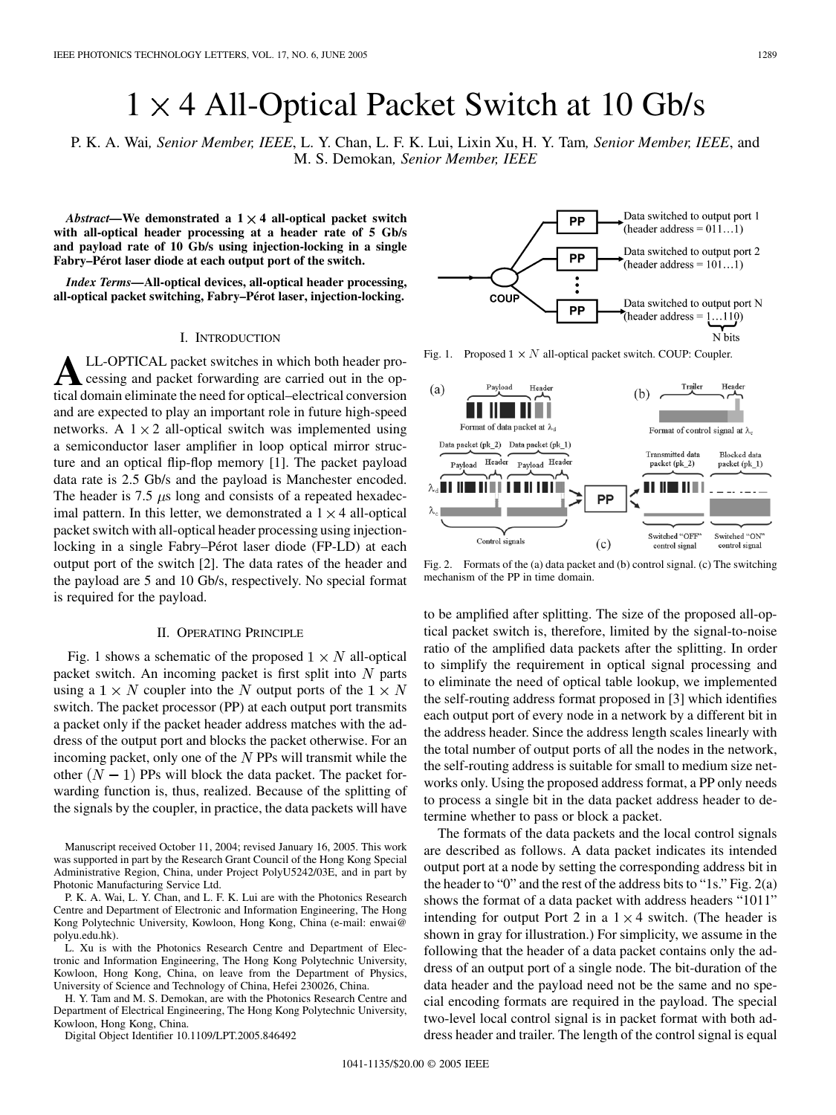# $1 \times 4$  All-Optical Packet Switch at 10 Gb/s

P. K. A. Wai*, Senior Member, IEEE*, L. Y. Chan, L. F. K. Lui, Lixin Xu, H. Y. Tam*, Senior Member, IEEE*, and M. S. Demokan*, Senior Member, IEEE*

*Abstract—***We demonstrated a 1 4 all-optical packet switch with all-optical header processing at a header rate of 5 Gb/s and payload rate of 10 Gb/s using injection-locking in a single Fabry–Pérot laser diode at each output port of the switch.**

*Index Terms—***All-optical devices, all-optical header processing, all-optical packet switching, Fabry–Pérot laser, injection-locking.**

### I. INTRODUCTION

**A**LL-OPTICAL packet switches in which both header processing and packet forwarding are carried out in the optical domain eliminate the need for optical–electrical conversion and are expected to play an important role in future high-speed networks. A  $1 \times 2$  all-optical switch was implemented using a semiconductor laser amplifier in loop optical mirror structure and an optical flip-flop memory [[1\]](#page-2-0). The packet payload data rate is 2.5 Gb/s and the payload is Manchester encoded. The header is 7.5  $\mu$ s long and consists of a repeated hexadecimal pattern. In this letter, we demonstrated a  $1 \times 4$  all-optical packet switch with all-optical header processing using injectionlocking in a single Fabry–Pérot laser diode (FP-LD) at each output port of the switch [[2\]](#page-2-0). The data rates of the header and the payload are 5 and 10 Gb/s, respectively. No special format is required for the payload.

# II. OPERATING PRINCIPLE

Fig. 1 shows a schematic of the proposed  $1 \times N$  all-optical packet switch. An incoming packet is first split into  $N$  parts using a  $1 \times N$  coupler into the N output ports of the  $1 \times N$ switch. The packet processor (PP) at each output port transmits a packet only if the packet header address matches with the address of the output port and blocks the packet otherwise. For an incoming packet, only one of the  $N$  PPs will transmit while the other  $(N - 1)$  PPs will block the data packet. The packet forwarding function is, thus, realized. Because of the splitting of the signals by the coupler, in practice, the data packets will have

Manuscript received October 11, 2004; revised January 16, 2005. This work was supported in part by the Research Grant Council of the Hong Kong Special Administrative Region, China, under Project PolyU5242/03E, and in part by Photonic Manufacturing Service Ltd.

P. K. A. Wai, L. Y. Chan, and L. F. K. Lui are with the Photonics Research Centre and Department of Electronic and Information Engineering, The Hong Kong Polytechnic University, Kowloon, Hong Kong, China (e-mail: enwai@ polyu.edu.hk).

L. Xu is with the Photonics Research Centre and Department of Electronic and Information Engineering, The Hong Kong Polytechnic University, Kowloon, Hong Kong, China, on leave from the Department of Physics, University of Science and Technology of China, Hefei 230026, China.

H. Y. Tam and M. S. Demokan, are with the Photonics Research Centre and Department of Electrical Engineering, The Hong Kong Polytechnic University, Kowloon, Hong Kong, China.

Digital Object Identifier 10.1109/LPT.2005.846492

Data switched to output port 1 PP (header address =  $011...1$ ) Data switched to output port 2 **PP** (header address =  $101...1$ ) COUF Data switched to output port N PP (header address =  $1...110$ ) N bits

Fig. 1. Proposed  $1 \times N$  all-optical packet switch. COUP: Coupler.



Fig. 2. Formats of the (a) data packet and (b) control signal. (c) The switching mechanism of the PP in time domain.

to be amplified after splitting. The size of the proposed all-optical packet switch is, therefore, limited by the signal-to-noise ratio of the amplified data packets after the splitting. In order to simplify the requirement in optical signal processing and to eliminate the need of optical table lookup, we implemented the self-routing address format proposed in [\[3](#page-2-0)] which identifies each output port of every node in a network by a different bit in the address header. Since the address length scales linearly with the total number of output ports of all the nodes in the network, the self-routing address is suitable for small to medium size networks only. Using the proposed address format, a PP only needs to process a single bit in the data packet address header to determine whether to pass or block a packet.

The formats of the data packets and the local control signals are described as follows. A data packet indicates its intended output port at a node by setting the corresponding address bit in the header to "0" and the rest of the address bits to "1s." Fig. 2(a) shows the format of a data packet with address headers "1011" intending for output Port 2 in a  $1 \times 4$  switch. (The header is shown in gray for illustration.) For simplicity, we assume in the following that the header of a data packet contains only the address of an output port of a single node. The bit-duration of the data header and the payload need not be the same and no special encoding formats are required in the payload. The special two-level local control signal is in packet format with both address header and trailer. The length of the control signal is equal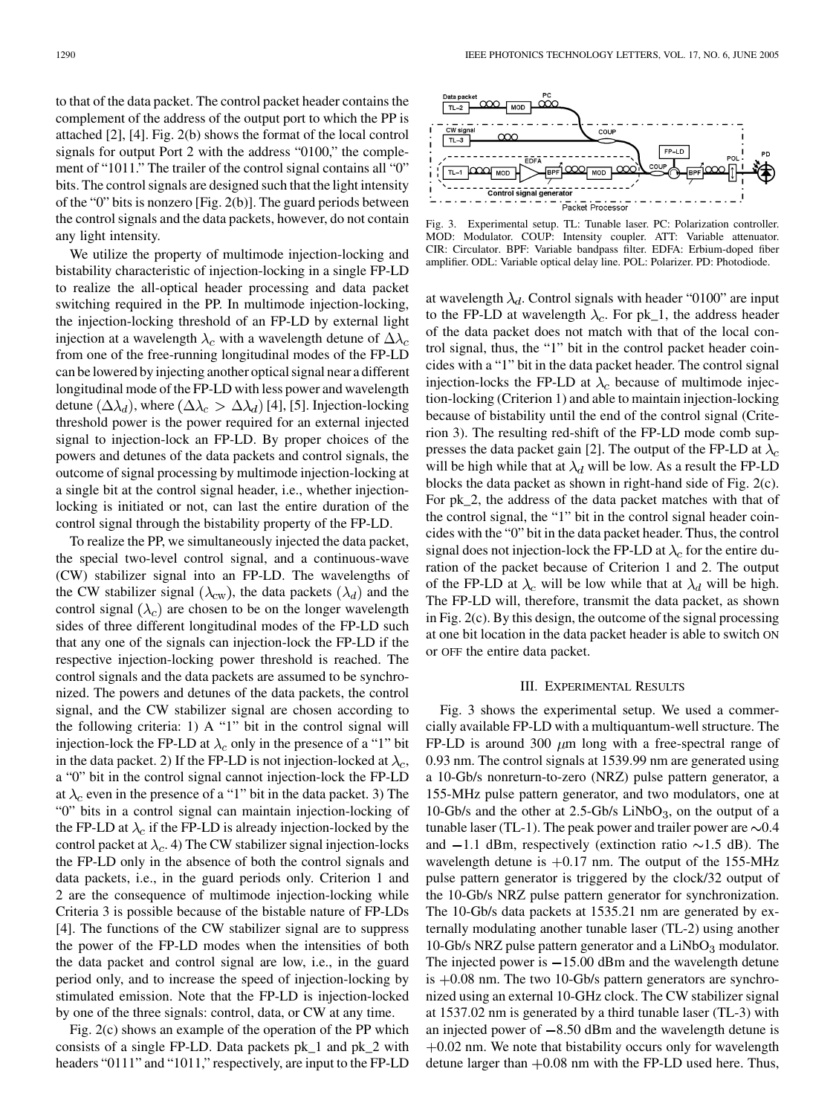to that of the data packet. The control packet header contains the complement of the address of the output port to which the PP is attached [\[2](#page-2-0)], [[4\]](#page-2-0). Fig. 2(b) shows the format of the local control signals for output Port 2 with the address "0100," the complement of "1011." The trailer of the control signal contains all "0" bits. The control signals are designed such that the light intensity of the "0" bits is nonzero [Fig. 2(b)]. The guard periods between the control signals and the data packets, however, do not contain any light intensity.

We utilize the property of multimode injection-locking and bistability characteristic of injection-locking in a single FP-LD to realize the all-optical header processing and data packet switching required in the PP. In multimode injection-locking, the injection-locking threshold of an FP-LD by external light injection at a wavelength  $\lambda_c$  with a wavelength detune of  $\Delta \lambda_c$ from one of the free-running longitudinal modes of the FP-LD can be lowered by injecting another optical signal near a different longitudinal mode of the FP-LD with less power and wavelength detune  $(\Delta \lambda_d)$ , where  $(\Delta \lambda_c > \Delta \lambda_d)$  [[4\]](#page-2-0), [[5\]](#page-2-0). Injection-locking threshold power is the power required for an external injected signal to injection-lock an FP-LD. By proper choices of the powers and detunes of the data packets and control signals, the outcome of signal processing by multimode injection-locking at a single bit at the control signal header, i.e., whether injectionlocking is initiated or not, can last the entire duration of the control signal through the bistability property of the FP-LD.

To realize the PP, we simultaneously injected the data packet, the special two-level control signal, and a continuous-wave (CW) stabilizer signal into an FP-LD. The wavelengths of the CW stabilizer signal  $(\lambda_{\text{cw}})$ , the data packets  $(\lambda_d)$  and the control signal  $(\lambda_c)$  are chosen to be on the longer wavelength sides of three different longitudinal modes of the FP-LD such that any one of the signals can injection-lock the FP-LD if the respective injection-locking power threshold is reached. The control signals and the data packets are assumed to be synchronized. The powers and detunes of the data packets, the control signal, and the CW stabilizer signal are chosen according to the following criteria: 1) A "1" bit in the control signal will injection-lock the FP-LD at  $\lambda_c$  only in the presence of a "1" bit in the data packet. 2) If the FP-LD is not injection-locked at  $\lambda_c$ , a "0" bit in the control signal cannot injection-lock the FP-LD at  $\lambda_c$  even in the presence of a "1" bit in the data packet. 3) The "0" bits in a control signal can maintain injection-locking of the FP-LD at  $\lambda_c$  if the FP-LD is already injection-locked by the control packet at  $\lambda_c$ . 4) The CW stabilizer signal injection-locks the FP-LD only in the absence of both the control signals and data packets, i.e., in the guard periods only. Criterion 1 and 2 are the consequence of multimode injection-locking while Criteria 3 is possible because of the bistable nature of FP-LDs [[4\]](#page-2-0). The functions of the CW stabilizer signal are to suppress the power of the FP-LD modes when the intensities of both the data packet and control signal are low, i.e., in the guard period only, and to increase the speed of injection-locking by stimulated emission. Note that the FP-LD is injection-locked by one of the three signals: control, data, or CW at any time.

Fig. 2(c) shows an example of the operation of the PP which consists of a single FP-LD. Data packets pk\_1 and pk\_2 with headers "0111" and "1011," respectively, are input to the FP-LD



Fig. 3. Experimental setup. TL: Tunable laser. PC: Polarization controller. MOD: Modulator. COUP: Intensity coupler. ATT: Variable attenuator. CIR: Circulator. BPF: Variable bandpass filter. EDFA: Erbium-doped fiber amplifier. ODL: Variable optical delay line. POL: Polarizer. PD: Photodiode.

at wavelength  $\lambda_d$ . Control signals with header "0100" are input to the FP-LD at wavelength  $\lambda_c$ . For pk\_1, the address header of the data packet does not match with that of the local control signal, thus, the "1" bit in the control packet header coincides with a "1" bit in the data packet header. The control signal injection-locks the FP-LD at  $\lambda_c$  because of multimode injection-locking (Criterion 1) and able to maintain injection-locking because of bistability until the end of the control signal (Criterion 3). The resulting red-shift of the FP-LD mode comb sup-presses the data packet gain [\[2](#page-2-0)]. The output of the FP-LD at  $\lambda_c$ will be high while that at  $\lambda_d$  will be low. As a result the FP-LD blocks the data packet as shown in right-hand side of Fig. 2(c). For pk\_2, the address of the data packet matches with that of the control signal, the "1" bit in the control signal header coincides with the "0" bit in the data packet header. Thus, the control signal does not injection-lock the FP-LD at  $\lambda_c$  for the entire duration of the packet because of Criterion 1 and 2. The output of the FP-LD at  $\lambda_c$  will be low while that at  $\lambda_d$  will be high. The FP-LD will, therefore, transmit the data packet, as shown in Fig. 2(c). By this design, the outcome of the signal processing at one bit location in the data packet header is able to switch ON or OFF the entire data packet.

#### III. EXPERIMENTAL RESULTS

Fig. 3 shows the experimental setup. We used a commercially available FP-LD with a multiquantum-well structure. The FP-LD is around 300  $\mu$ m long with a free-spectral range of 0.93 nm. The control signals at 1539.99 nm are generated using a 10-Gb/s nonreturn-to-zero (NRZ) pulse pattern generator, a 155-MHz pulse pattern generator, and two modulators, one at 10-Gb/s and the other at  $2.5$ -Gb/s LiNbO<sub>3</sub>, on the output of a tunable laser (TL-1). The peak power and trailer power are  $\sim 0.4$ and  $-1.1$  dBm, respectively (extinction ratio  $\sim 1.5$  dB). The wavelength detune is  $+0.17$  nm. The output of the 155-MHz pulse pattern generator is triggered by the clock/32 output of the 10-Gb/s NRZ pulse pattern generator for synchronization. The 10-Gb/s data packets at 1535.21 nm are generated by externally modulating another tunable laser (TL-2) using another 10-Gb/s NRZ pulse pattern generator and a  $LiNbO<sub>3</sub>$  modulator. The injected power is  $-15.00$  dBm and the wavelength detune is  $+0.08$  nm. The two 10-Gb/s pattern generators are synchronized using an external 10-GHz clock. The CW stabilizer signal at 1537.02 nm is generated by a third tunable laser (TL-3) with an injected power of  $-8.50$  dBm and the wavelength detune is  $+0.02$  nm. We note that bistability occurs only for wavelength detune larger than  $+0.08$  nm with the FP-LD used here. Thus,